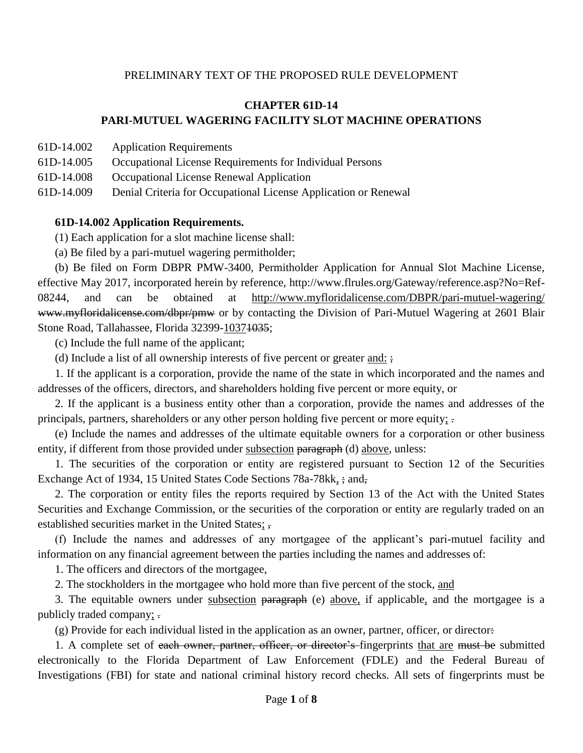#### PRELIMINARY TEXT OF THE PROPOSED RULE DEVELOPMENT

## **CHAPTER 61D-14 PARI-MUTUEL WAGERING FACILITY SLOT MACHINE OPERATIONS**

- 61D-14.002 Application Requirements
- 61D-14.005 Occupational License Requirements for Individual Persons
- 61D-14.008 Occupational License Renewal Application

61D-14.009 Denial Criteria for Occupational License Application or Renewal

#### **61D-14.002 Application Requirements.**

(1) Each application for a slot machine license shall:

(a) Be filed by a pari-mutuel wagering permitholder;

(b) Be filed on Form DBPR PMW-3400, Permitholder Application for Annual Slot Machine License, effective May 2017, incorporated herein by reference, http://www.flrules.org/Gateway/reference.asp?No=Ref-08244, and can be obtained at http://www.myfloridalicense.com/DBPR/pari-mutuel-wagering/ www.myfloridalicense.com/dbpr/pmw or by contacting the Division of Pari-Mutuel Wagering at 2601 Blair Stone Road, Tallahassee, Florida 32399-10371035;

(c) Include the full name of the applicant;

(d) Include a list of all ownership interests of five percent or greater and:  $\frac{1}{2}$ 

1. If the applicant is a corporation, provide the name of the state in which incorporated and the names and addresses of the officers, directors, and shareholders holding five percent or more equity, or

2. If the applicant is a business entity other than a corporation, provide the names and addresses of the principals, partners, shareholders or any other person holding five percent or more equity; .

(e) Include the names and addresses of the ultimate equitable owners for a corporation or other business entity, if different from those provided under subsection paragraph (d) above, unless:

1. The securities of the corporation or entity are registered pursuant to Section 12 of the Securities Exchange Act of 1934, 15 United States Code Sections 78a-78kk,  $\frac{1}{2}$  and,

2. The corporation or entity files the reports required by Section 13 of the Act with the United States Securities and Exchange Commission, or the securities of the corporation or entity are regularly traded on an established securities market in the United States; ,

(f) Include the names and addresses of any mortgagee of the applicant's pari-mutuel facility and information on any financial agreement between the parties including the names and addresses of:

1. The officers and directors of the mortgagee,

2. The stockholders in the mortgagee who hold more than five percent of the stock, and

3. The equitable owners under subsection paragraph (e) above, if applicable, and the mortgagee is a publicly traded company; .

(g) Provide for each individual listed in the application as an owner, partner, officer, or director:

1. A complete set of each owner, partner, officer, or director's fingerprints that are must be submitted electronically to the Florida Department of Law Enforcement (FDLE) and the Federal Bureau of Investigations (FBI) for state and national criminal history record checks. All sets of fingerprints must be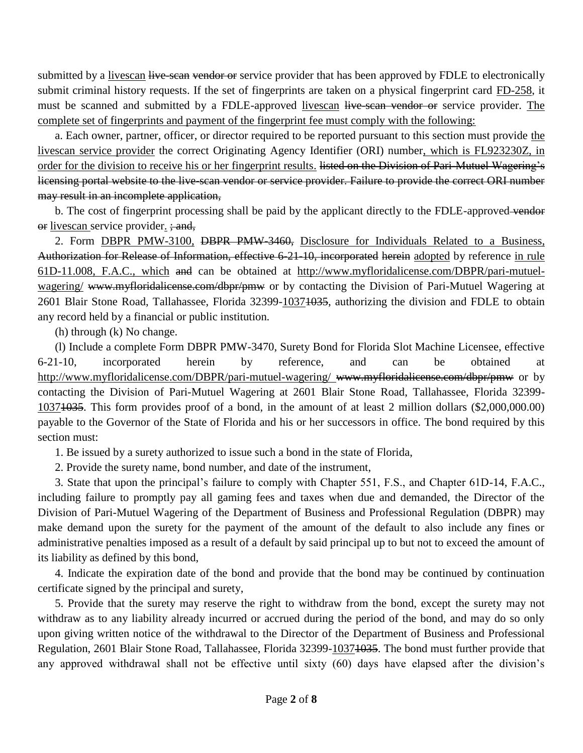submitted by a livescan live-scan vendor or service provider that has been approved by FDLE to electronically submit criminal history requests. If the set of fingerprints are taken on a physical fingerprint card FD-258, it must be scanned and submitted by a FDLE-approved livescan live-sean vendor or service provider. The complete set of fingerprints and payment of the fingerprint fee must comply with the following:

a. Each owner, partner, officer, or director required to be reported pursuant to this section must provide the livescan service provider the correct Originating Agency Identifier (ORI) number, which is FL923230Z, in order for the division to receive his or her fingerprint results. <del>listed on the Division of Pari-Mutuel Wagering's</del> licensing portal website to the live-scan vendor or service provider. Failure to provide the correct ORI number may result in an incomplete application,

b. The cost of fingerprint processing shall be paid by the applicant directly to the FDLE-approved-vendor or livescan service provider. ; and,

2. Form DBPR PMW-3100, DBPR PMW-3460, Disclosure for Individuals Related to a Business, Authorization for Release of Information, effective 6-21-10, incorporated herein adopted by reference in rule 61D-11.008, F.A.C., which and can be obtained at http://www.myfloridalicense.com/DBPR/pari-mutuelwagering/ www.myfloridalicense.com/dbpr/pmw or by contacting the Division of Pari-Mutuel Wagering at 2601 Blair Stone Road, Tallahassee, Florida 32399-10371035, authorizing the division and FDLE to obtain any record held by a financial or public institution.

(h) through (k) No change.

(l) Include a complete Form DBPR PMW-3470, Surety Bond for Florida Slot Machine Licensee, effective 6-21-10, incorporated herein by reference, and can be obtained at http://www.myfloridalicense.com/DBPR/pari-mutuel-wagering/ www.myfloridalicense.com/dbpr/pmw or by contacting the Division of Pari-Mutuel Wagering at 2601 Blair Stone Road, Tallahassee, Florida 32399- 10371035. This form provides proof of a bond, in the amount of at least 2 million dollars (\$2,000,000.00) payable to the Governor of the State of Florida and his or her successors in office. The bond required by this section must:

1. Be issued by a surety authorized to issue such a bond in the state of Florida,

2. Provide the surety name, bond number, and date of the instrument,

3. State that upon the principal's failure to comply with Chapter 551, F.S., and Chapter 61D-14, F.A.C., including failure to promptly pay all gaming fees and taxes when due and demanded, the Director of the Division of Pari-Mutuel Wagering of the Department of Business and Professional Regulation (DBPR) may make demand upon the surety for the payment of the amount of the default to also include any fines or administrative penalties imposed as a result of a default by said principal up to but not to exceed the amount of its liability as defined by this bond,

4. Indicate the expiration date of the bond and provide that the bond may be continued by continuation certificate signed by the principal and surety,

5. Provide that the surety may reserve the right to withdraw from the bond, except the surety may not withdraw as to any liability already incurred or accrued during the period of the bond, and may do so only upon giving written notice of the withdrawal to the Director of the Department of Business and Professional Regulation, 2601 Blair Stone Road, Tallahassee, Florida 32399-10371035. The bond must further provide that any approved withdrawal shall not be effective until sixty (60) days have elapsed after the division's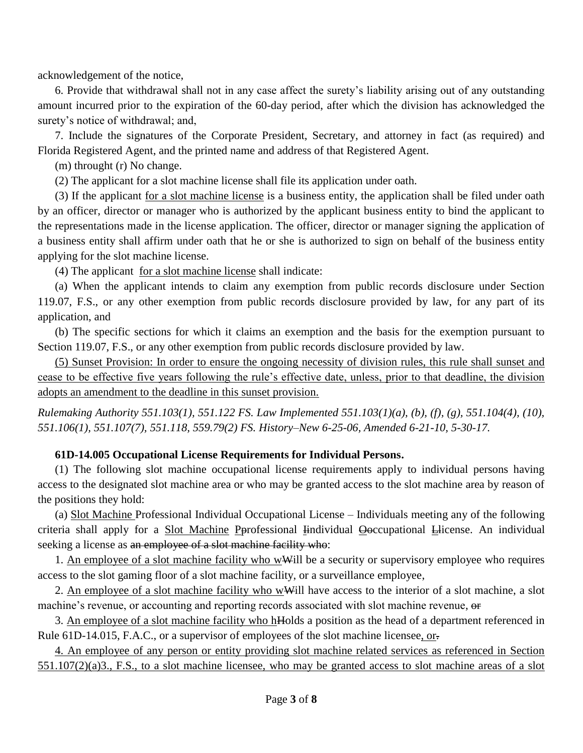acknowledgement of the notice,

6. Provide that withdrawal shall not in any case affect the surety's liability arising out of any outstanding amount incurred prior to the expiration of the 60-day period, after which the division has acknowledged the surety's notice of withdrawal; and,

7. Include the signatures of the Corporate President, Secretary, and attorney in fact (as required) and Florida Registered Agent, and the printed name and address of that Registered Agent.

(m) throught (r) No change.

(2) The applicant for a slot machine license shall file its application under oath.

(3) If the applicant for a slot machine license is a business entity, the application shall be filed under oath by an officer, director or manager who is authorized by the applicant business entity to bind the applicant to the representations made in the license application. The officer, director or manager signing the application of a business entity shall affirm under oath that he or she is authorized to sign on behalf of the business entity applying for the slot machine license.

(4) The applicant for a slot machine license shall indicate:

(a) When the applicant intends to claim any exemption from public records disclosure under Section 119.07, F.S., or any other exemption from public records disclosure provided by law, for any part of its application, and

(b) The specific sections for which it claims an exemption and the basis for the exemption pursuant to Section 119.07, F.S., or any other exemption from public records disclosure provided by law.

(5) Sunset Provision: In order to ensure the ongoing necessity of division rules, this rule shall sunset and cease to be effective five years following the rule's effective date, unless, prior to that deadline, the division adopts an amendment to the deadline in this sunset provision.

*Rulemaking Authority 551.103(1), 551.122 FS. Law Implemented 551.103(1)(a), (b), (f), (g), 551.104(4), (10), 551.106(1), 551.107(7), 551.118, 559.79(2) FS. History–New 6-25-06, Amended 6-21-10, 5-30-17.*

#### **61D-14.005 Occupational License Requirements for Individual Persons.**

(1) The following slot machine occupational license requirements apply to individual persons having access to the designated slot machine area or who may be granted access to the slot machine area by reason of the positions they hold:

(a) Slot Machine Professional Individual Occupational License – Individuals meeting any of the following criteria shall apply for a Slot Machine Pprofessional Hindividual Ooccupational Hicense. An individual seeking a license as an employee of a slot machine facility who:

1. An employee of a slot machine facility who wWill be a security or supervisory employee who requires access to the slot gaming floor of a slot machine facility, or a surveillance employee,

2. An employee of a slot machine facility who wwill have access to the interior of a slot machine, a slot machine's revenue, or accounting and reporting records associated with slot machine revenue, or

3. An employee of a slot machine facility who hHolds a position as the head of a department referenced in Rule 61D-14.015, F.A.C., or a supervisor of employees of the slot machine licensee, or.

4. An employee of any person or entity providing slot machine related services as referenced in Section 551.107(2)(a)3., F.S., to a slot machine licensee, who may be granted access to slot machine areas of a slot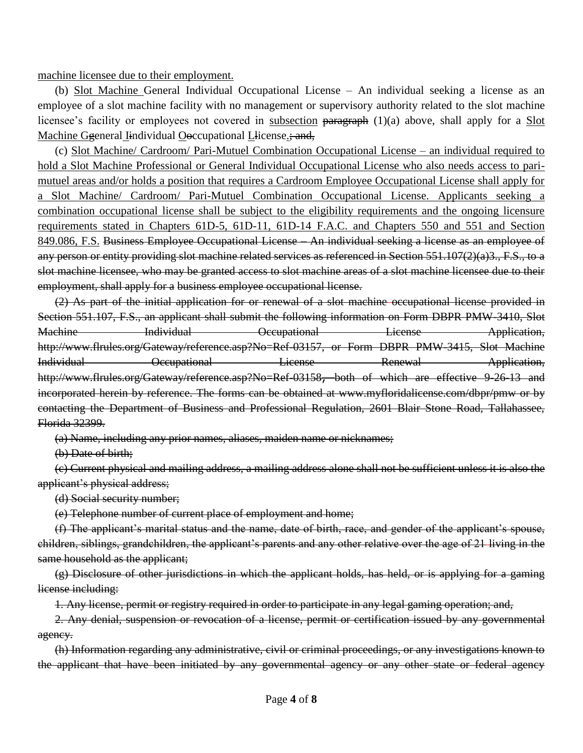machine licensee due to their employment.

(b) Slot Machine General Individual Occupational License – An individual seeking a license as an employee of a slot machine facility with no management or supervisory authority related to the slot machine licensee's facility or employees not covered in subsection paragraph (1)(a) above, shall apply for a Slot Machine Ggeneral Iindividual Ooccupational Llicense.; and,

(c) Slot Machine/ Cardroom/ Pari-Mutuel Combination Occupational License – an individual required to hold a Slot Machine Professional or General Individual Occupational License who also needs access to parimutuel areas and/or holds a position that requires a Cardroom Employee Occupational License shall apply for a Slot Machine/ Cardroom/ Pari-Mutuel Combination Occupational License. Applicants seeking a combination occupational license shall be subject to the eligibility requirements and the ongoing licensure requirements stated in Chapters 61D-5, 61D-11, 61D-14 F.A.C. and Chapters 550 and 551 and Section 849.086, F.S. Business Employee Occupational License – An individual seeking a license as an employee of any person or entity providing slot machine related services as referenced in Section 551.107(2)(a)3., F.S., to a slot machine licensee, who may be granted access to slot machine areas of a slot machine licensee due to their employment, shall apply for a business employee occupational license.

(2) As part of the initial application for or renewal of a slot machine occupational license provided in Section 551.107, F.S., an applicant shall submit the following information on Form DBPR PMW-3410, Slot Machine Individual Occupational License Application, http://www.flrules.org/Gateway/reference.asp?No=Ref-03157, or Form DBPR PMW-3415, Slot Machine Individual **Communisties** Occupational License Renewal Application, http://www.flrules.org/Gateway/reference.asp?No=Ref-03158, both of which are effective 9-26-13 and incorporated herein by reference. The forms can be obtained at www.myfloridalicense.com/dbpr/pmw or by contacting the Department of Business and Professional Regulation, 2601 Blair Stone Road, Tallahassee, Florida 32399.

(a) Name, including any prior names, aliases, maiden name or nicknames;

(b) Date of birth;

(c) Current physical and mailing address, a mailing address alone shall not be sufficient unless it is also the applicant's physical address;

(d) Social security number;

(e) Telephone number of current place of employment and home;

(f) The applicant's marital status and the name, date of birth, race, and gender of the applicant's spouse, children, siblings, grandchildren, the applicant's parents and any other relative over the age of 21 living in the same household as the applicant;

(g) Disclosure of other jurisdictions in which the applicant holds, has held, or is applying for a gaming license including:

1. Any license, permit or registry required in order to participate in any legal gaming operation; and,

2. Any denial, suspension or revocation of a license, permit or certification issued by any governmental agency.

(h) Information regarding any administrative, civil or criminal proceedings, or any investigations known to the applicant that have been initiated by any governmental agency or any other state or federal agency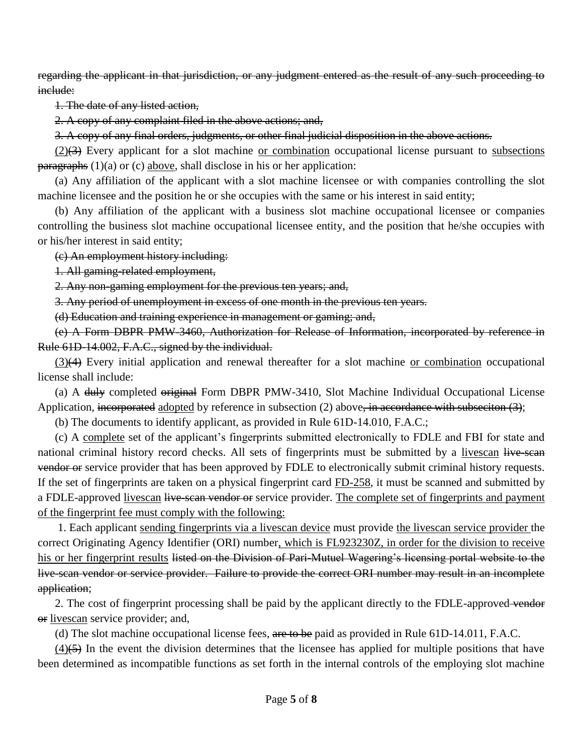regarding the applicant in that jurisdiction, or any judgment entered as the result of any such proceeding to include:

1. The date of any listed action,

2. A copy of any complaint filed in the above actions; and,

3. A copy of any final orders, judgments, or other final judicial disposition in the above actions.

 $(2)(3)$  Every applicant for a slot machine or combination occupational license pursuant to subsections  $\overline{\text{paragraphs}}$  (1)(a) or (c) above, shall disclose in his or her application:

(a) Any affiliation of the applicant with a slot machine licensee or with companies controlling the slot machine licensee and the position he or she occupies with the same or his interest in said entity;

(b) Any affiliation of the applicant with a business slot machine occupational licensee or companies controlling the business slot machine occupational licensee entity, and the position that he/she occupies with or his/her interest in said entity;

(c) An employment history including:

1. All gaming-related employment,

2. Any non-gaming employment for the previous ten years; and,

3. Any period of unemployment in excess of one month in the previous ten years.

(d) Education and training experience in management or gaming; and,

(e) A Form DBPR PMW-3460, Authorization for Release of Information, incorporated by reference in Rule 61D-14.002, F.A.C., signed by the individual.

(3)(4) Every initial application and renewal thereafter for a slot machine or combination occupational license shall include:

(a) A duly completed original Form DBPR PMW-3410, Slot Machine Individual Occupational License Application, incorporated adopted by reference in subsection (2) above, in accordance with subsection (3);

(b) The documents to identify applicant, as provided in Rule 61D-14.010, F.A.C.;

(c) A complete set of the applicant's fingerprints submitted electronically to FDLE and FBI for state and national criminal history record checks. All sets of fingerprints must be submitted by a livescan live-scan vendor or service provider that has been approved by FDLE to electronically submit criminal history requests. If the set of fingerprints are taken on a physical fingerprint card FD-258, it must be scanned and submitted by a FDLE-approved livescan live-scan vendor or service provider. The complete set of fingerprints and payment of the fingerprint fee must comply with the following:

1. Each applicant sending fingerprints via a livescan device must provide the livescan service provider the correct Originating Agency Identifier (ORI) number, which is FL923230Z, in order for the division to receive his or her fingerprint results listed on the Division of Pari-Mutuel Wagering's licensing portal website to the live-scan vendor or service provider. Failure to provide the correct ORI number may result in an incomplete application;

2. The cost of fingerprint processing shall be paid by the applicant directly to the FDLE-approved-vendor or livescan service provider; and,

(d) The slot machine occupational license fees, are to be paid as provided in Rule 61D-14.011, F.A.C.

 $(4)$ (5) In the event the division determines that the licensee has applied for multiple positions that have been determined as incompatible functions as set forth in the internal controls of the employing slot machine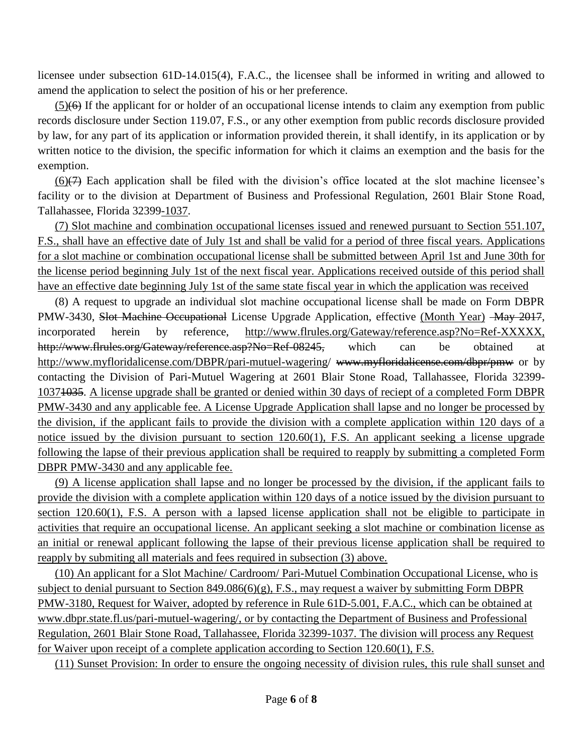licensee under subsection 61D-14.015(4), F.A.C., the licensee shall be informed in writing and allowed to amend the application to select the position of his or her preference.

(5)(6) If the applicant for or holder of an occupational license intends to claim any exemption from public records disclosure under Section 119.07, F.S., or any other exemption from public records disclosure provided by law, for any part of its application or information provided therein, it shall identify, in its application or by written notice to the division, the specific information for which it claims an exemption and the basis for the exemption.

 $(6)$ ( $\rightarrow$ ) Each application shall be filed with the division's office located at the slot machine licensee's facility or to the division at Department of Business and Professional Regulation, 2601 Blair Stone Road, Tallahassee, Florida 32399-1037.

(7) Slot machine and combination occupational licenses issued and renewed pursuant to Section 551.107, F.S., shall have an effective date of July 1st and shall be valid for a period of three fiscal years. Applications for a slot machine or combination occupational license shall be submitted between April 1st and June 30th for the license period beginning July 1st of the next fiscal year. Applications received outside of this period shall have an effective date beginning July 1st of the same state fiscal year in which the application was received

(8) A request to upgrade an individual slot machine occupational license shall be made on Form DBPR PMW-3430, Slot Machine Occupational License Upgrade Application, effective (Month Year) - May 2017, incorporated herein by reference, http://www.flrules.org/Gateway/reference.asp?No=Ref-XXXXX, http://www.flrules.org/Gateway/reference.asp?No=Ref-08245, which can be obtained at http://www.myfloridalicense.com/DBPR/pari-mutuel-wagering/ www.myfloridalicense.com/dbpr/pmw or by contacting the Division of Pari-Mutuel Wagering at 2601 Blair Stone Road, Tallahassee, Florida 32399- 10371035. A license upgrade shall be granted or denied within 30 days of reciept of a completed Form DBPR PMW-3430 and any applicable fee. A License Upgrade Application shall lapse and no longer be processed by the division, if the applicant fails to provide the division with a complete application within 120 days of a notice issued by the division pursuant to section 120.60(1), F.S. An applicant seeking a license upgrade following the lapse of their previous application shall be required to reapply by submitting a completed Form DBPR PMW-3430 and any applicable fee.

(9) A license application shall lapse and no longer be processed by the division, if the applicant fails to provide the division with a complete application within 120 days of a notice issued by the division pursuant to section 120.60(1), F.S. A person with a lapsed license application shall not be eligible to participate in activities that require an occupational license. An applicant seeking a slot machine or combination license as an initial or renewal applicant following the lapse of their previous license application shall be required to reapply by submiting all materials and fees required in subsection (3) above.

(10) An applicant for a Slot Machine/ Cardroom/ Pari-Mutuel Combination Occupational License, who is subject to denial pursuant to Section 849.086(6)(g), F.S., may request a waiver by submitting Form DBPR PMW-3180, Request for Waiver, adopted by reference in Rule 61D-5.001, F.A.C., which can be obtained at www.dbpr.state.fl.us/pari-mutuel-wagering/, or by contacting the Department of Business and Professional Regulation, 2601 Blair Stone Road, Tallahassee, Florida 32399-1037. The division will process any Request for Waiver upon receipt of a complete application according to Section 120.60(1), F.S.

(11) Sunset Provision: In order to ensure the ongoing necessity of division rules, this rule shall sunset and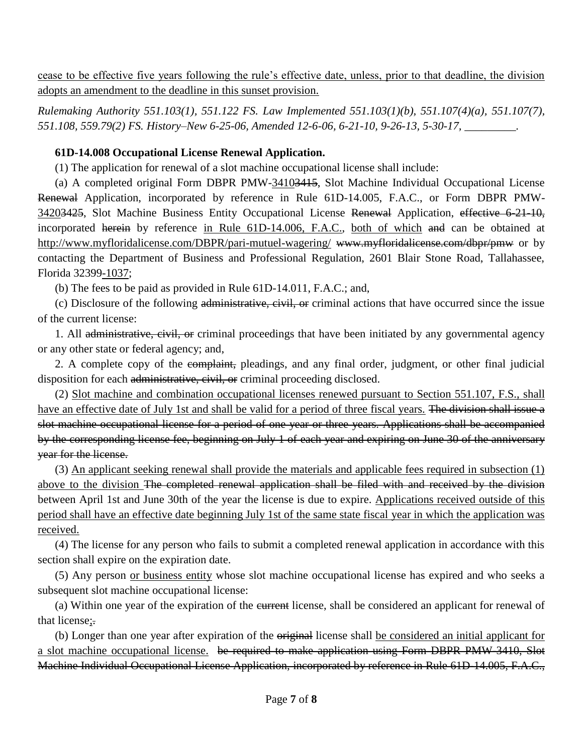cease to be effective five years following the rule's effective date, unless, prior to that deadline, the division adopts an amendment to the deadline in this sunset provision.

*Rulemaking Authority 551.103(1), 551.122 FS. Law Implemented 551.103(1)(b), 551.107(4)(a), 551.107(7), 551.108, 559.79(2) FS. History–New 6-25-06, Amended 12-6-06, 6-21-10, 9-26-13, 5-30-17, \_\_\_\_\_\_\_\_\_.*

### **61D-14.008 Occupational License Renewal Application.**

(1) The application for renewal of a slot machine occupational license shall include:

(a) A completed original Form DBPR PMW-34103415, Slot Machine Individual Occupational License Renewal Application, incorporated by reference in Rule 61D-14.005, F.A.C., or Form DBPR PMW-34203425, Slot Machine Business Entity Occupational License Renewal Application, effective 6-21-10, incorporated herein by reference in Rule 61D-14.006, F.A.C., both of which and can be obtained at http://www.myfloridalicense.com/DBPR/pari-mutuel-wagering/ www.myfloridalicense.com/dbpr/pmw or by contacting the Department of Business and Professional Regulation, 2601 Blair Stone Road, Tallahassee, Florida 32399-1037;

(b) The fees to be paid as provided in Rule 61D-14.011, F.A.C.; and,

(c) Disclosure of the following administrative, civil, or criminal actions that have occurred since the issue of the current license:

1. All administrative, civil, or criminal proceedings that have been initiated by any governmental agency or any other state or federal agency; and,

2. A complete copy of the complaint, pleadings, and any final order, judgment, or other final judicial disposition for each administrative, civil, or criminal proceeding disclosed.

(2) Slot machine and combination occupational licenses renewed pursuant to Section 551.107, F.S., shall have an effective date of July 1st and shall be valid for a period of three fiscal years. The division shall issue a slot machine occupational license for a period of one year or three years. Applications shall be accompanied by the corresponding license fee, beginning on July 1 of each year and expiring on June 30 of the anniversary year for the license.

(3) An applicant seeking renewal shall provide the materials and applicable fees required in subsection (1) above to the division The completed renewal application shall be filed with and received by the division between April 1st and June 30th of the year the license is due to expire. Applications received outside of this period shall have an effective date beginning July 1st of the same state fiscal year in which the application was received.

(4) The license for any person who fails to submit a completed renewal application in accordance with this section shall expire on the expiration date.

(5) Any person or business entity whose slot machine occupational license has expired and who seeks a subsequent slot machine occupational license:

(a) Within one year of the expiration of the current license, shall be considered an applicant for renewal of that license;.

(b) Longer than one year after expiration of the original license shall be considered an initial applicant for a slot machine occupational license. be required to make application using Form DBPR PMW-3410, Slot Machine Individual Occupational License Application, incorporated by reference in Rule 61D-14.005, F.A.C.,